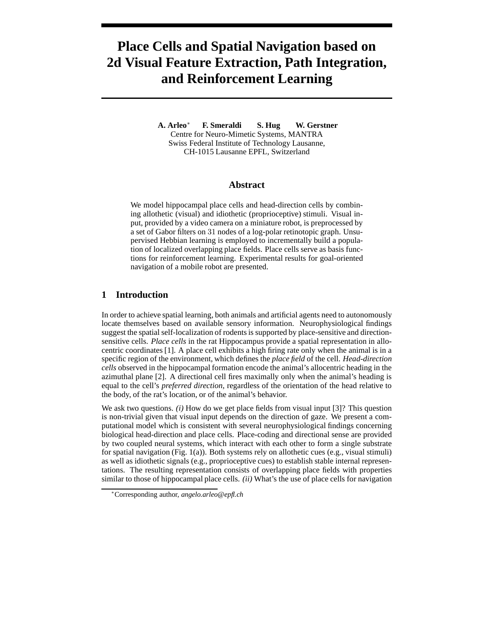# **Place Cells and Spatial Navigation based on 2d Visual Feature Extraction, Path Integration, and Reinforcement Learning**

**A. Arleo**<sup>∗</sup> **F. Smeraldi S. Hug W. Gerstner** Centre for Neuro-Mimetic Systems, MANTRA Swiss Federal Institute of Technology Lausanne, CH-1015 Lausanne EPFL, Switzerland

## **Abstract**

We model hippocampal place cells and head-direction cells by combining allothetic (visual) and idiothetic (proprioceptive) stimuli. Visual input, provided by a video camera on a miniature robot, is preprocessed by a set of Gabor filters on 31 nodes of a log-polar retinotopic graph. Unsupervised Hebbian learning is employed to incrementally build a population of localized overlapping place fields. Place cells serve as basis functions for reinforcement learning. Experimental results for goal-oriented navigation of a mobile robot are presented.

# **1 Introduction**

In order to achieve spatial learning, both animals and artificial agents need to autonomously locate themselves based on available sensory information. Neurophysiological findings suggest the spatial self-localization of rodentsis supported by place-sensitive and directionsensitive cells. *Place cells* in the rat Hippocampus provide a spatial representation in allocentric coordinates [1]. A place cell exhibits a high firing rate only when the animal is in a specific region of the environment, which defines the *place field* of the cell. *Head-direction cells* observed in the hippocampal formation encode the animal's allocentric heading in the azimuthal plane [2]. A directional cell fires maximally only when the animal's heading is equal to the cell's *preferred direction*, regardless of the orientation of the head relative to the body, of the rat's location, or of the animal's behavior.

We ask two questions. *(i)* How do we get place fields from visual input [3]? This question is non-trivial given that visual input depends on the direction of gaze. We present a computational model which is consistent with several neurophysiological findings concerning biological head-direction and place cells. Place-coding and directional sense are provided by two coupled neural systems, which interact with each other to form a single substrate for spatial navigation (Fig. 1(a)). Both systems rely on allothetic cues (e.g., visual stimuli) as well as idiothetic signals (e.g., proprioceptive cues) to establish stable internal representations. The resulting representation consists of overlapping place fields with properties similar to those of hippocampal place cells. *(ii)* What's the use of place cells for navigation

<sup>∗</sup>Corresponding author, *angelo.arleo@epfl.ch*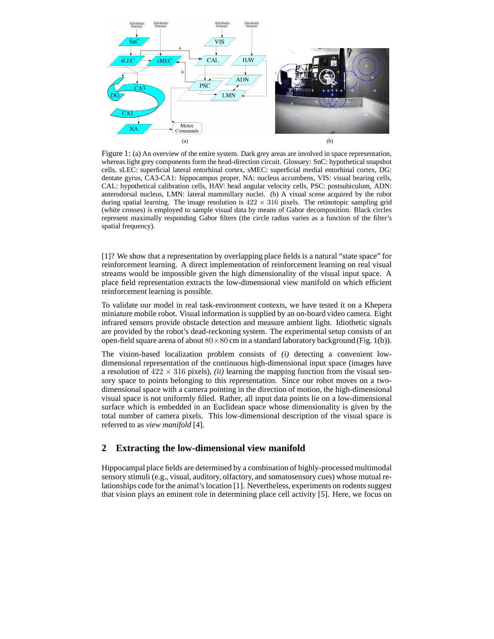

Figure 1: (a) An overview of the entire system. Dark grey areas are involved in space representation, whereas light grey components form the head-direction circuit. Glossary: SnC: hypothetical snapshot cells, sLEC: superficial lateral entorhinal cortex, sMEC: superficial medial entorhinal cortex, DG: dentate gyrus, CA3-CA1: hippocampus proper, NA: nucleus accumbens, VIS: visual bearing cells, CAL: hypothetical calibration cells, HAV: head angular velocity cells, PSC: postsubiculum, ADN: anterodorsal nucleus, LMN: lateral mammillary nuclei. (b) A visual scene acquired by the robot during spatial learning. The image resolution is  $422 \times 316$  pixels. The retinotopic sampling grid (white crosses) is employed to sample visual data by means of Gabor decomposition. Black circles represent maximally responding Gabor filters (the circle radius varies as a function of the filter's spatial frequency).

[1]? We show that a representation by overlapping place fields is a natural "state space" for reinforcement learning. A direct implementation of reinforcement learning on real visual streams would be impossible given the high dimensionality of the visual input space. A place field representation extracts the low-dimensional view manifold on which efficient reinforcement learning is possible.

To validate our model in real task-environment contexts, we have tested it on a Khepera miniature mobile robot. Visual information is supplied by an on-board video camera. Eight infrared sensors provide obstacle detection and measure ambient light. Idiothetic signals are provided by the robot's dead-reckoning system. The experimental setup consists of an open-field square arena of about  $80 \times 80$  cm in a standard laboratory background (Fig. 1(b)).

The vision-based localization problem consists of *(i)* detecting a convenient lowdimensional representation of the continuous high-dimensional input space (images have a resolution of  $422 \times 316$  pixels), *(ii)* learning the mapping function from the visual sensory space to points belonging to this representation. Since our robot moves on a twodimensional space with a camera pointing in the direction of motion, the high-dimensional visual space is not uniformly filled. Rather, all input data points lie on a low-dimensional surface which is embedded in an Euclidean space whose dimensionality is given by the total number of camera pixels. This low-dimensional description of the visual space is referred to as *view manifold* [4].

# **2 Extracting the low-dimensional view manifold**

Hippocampal place fields are determined by a combination of highly-processed multimodal sensory stimuli (e.g., visual, auditory, olfactory, and somatosensory cues) whose mutual relationships code for the animal's location [1]. Nevertheless, experiments on rodents suggest that vision plays an eminent role in determining place cell activity [5]. Here, we focus on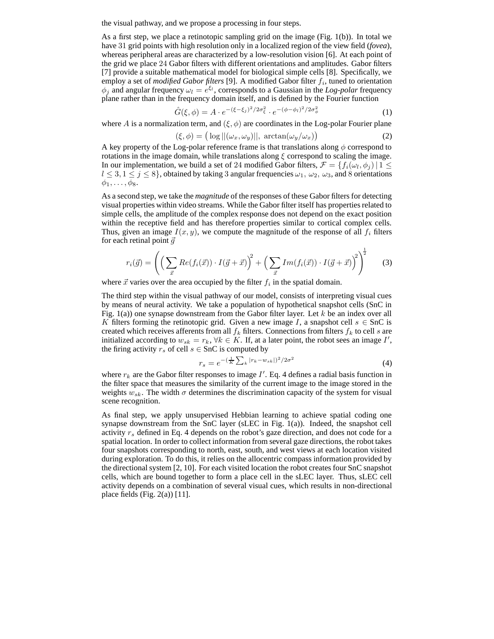the visual pathway, and we propose a processing in four steps.

As a first step, we place a retinotopic sampling grid on the image (Fig.  $1(b)$ ). In total we have 31 grid points with high resolution only in a localized region of the view field (*fovea*), whereas peripheral areas are characterized by a low-resolution vision [6]. At each point of the grid we place 24 Gabor filters with different orientations and amplitudes. Gabor filters [7] provide a suitable mathematical model for biological simple cells [8]. Specifically, we employ a set of *modified Gabor filters* [9]. A modified Gabor filter  $f_i$ , tuned to orientation  $\phi_j$  and angular frequency  $\omega_l = e^{\xi_l}$ , corresponds to a Gaussian in the *Log-polar* frequency plane rather than in the frequency domain itself, and is defined by the Fourier function

$$
\hat{G}(\xi,\phi) = A \cdot e^{-(\xi - \xi_j)^2/2\sigma_{\xi}^2} \cdot e^{-(\phi - \phi_l)^2/2\sigma_{\phi}^2}
$$
\n(1)

where A is a normalization term, and  $(\xi, \phi)$  are coordinates in the Log-polar Fourier plane

$$
(\xi, \phi) = \big(\log \left| \left| \left( \omega_x, \omega_y \right) \right| \right|, \, \arctan(\omega_y/\omega_x) \big) \tag{2}
$$

A key property of the Log-polar reference frame is that translations along  $\phi$  correspond to rotations in the image domain, while translations along  $\xi$  correspond to scaling the image. In our implementation, we build a set of 24 modified Gabor filters,  $\mathcal{F} = \{f_i(\omega_l, \phi_j) | 1 \leq j \leq n \}$  $l \leq 3, 1 \leq j \leq 8$ , obtained by taking 3 angular frequencies  $\omega_1, \omega_2, \omega_3$ , and 8 orientations  $\phi_1, \ldots, \phi_8$ .

As a second step, we take the *magnitude* of the responses of these Gabor filters for detecting visual properties within video streams. While the Gabor filter itself has propertiesrelated to simple cells, the amplitude of the complex response does not depend on the exact position within the receptive field and has therefore properties similar to cortical complex cells. Thus, given an image  $I(x, y)$ , we compute the magnitude of the response of all  $f_i$  filters for each retinal point  $\vec{q}$ 

$$
r_i(\vec{g}) = \left( \left( \sum_{\vec{x}} Re(f_i(\vec{x})) \cdot I(\vec{g} + \vec{x}) \right)^2 + \left( \sum_{\vec{x}} Im(f_i(\vec{x})) \cdot I(\vec{g} + \vec{x}) \right)^2 \right)^{\frac{1}{2}} \tag{3}
$$

where  $\vec{x}$  varies over the area occupied by the filter  $f_i$  in the spatial domain.

The third step within the visual pathway of our model, consists of interpreting visual cues by means of neural activity. We take a population of hypothetical snapshot cells (SnC in Fig.  $1(a)$ ) one synapse downstream from the Gabor filter layer. Let k be an index over all K filters forming the retinotopic grid. Given a new image I, a snapshot cell  $s \in$  SnC is created which receives afferents from all  $f_k$  filters. Connections from filters  $f_k$  to cell s are initialized according to  $w_{sk} = r_k$ ,  $\forall k \in K$ . If, at a later point, the robot sees an image I', the firing activity  $r_s$  of cell  $s \in$  SnC is computed by

$$
r_s = e^{-\left(\frac{1}{K}\sum_{k}|r_k - w_{sk}|\right)^2/2\sigma^2} \tag{4}
$$

where  $r_k$  are the Gabor filter responses to image  $I'$ . Eq. 4 defines a radial basis function in the filter space that measures the similarity of the current image to the image stored in the weights  $w_{sk}$ . The width  $\sigma$  determines the discrimination capacity of the system for visual scene recognition.

As final step, we apply unsupervised Hebbian learning to achieve spatial coding one synapse downstream from the SnC layer (sLEC in Fig. 1(a)). Indeed, the snapshot cell activity  $r<sub>s</sub>$  defined in Eq. 4 depends on the robot's gaze direction, and does not code for a spatial location. In order to collect information from several gaze directions, the robot takes four snapshots corresponding to north, east, south, and west views at each location visited during exploration. To do this, it relies on the allocentric compass information provided by the directional system [2, 10]. For each visited location the robot creates four SnC snapshot cells, which are bound together to form a place cell in the sLEC layer. Thus, sLEC cell activity depends on a combination of several visual cues, which results in non-directional place fields (Fig. 2(a)) [11].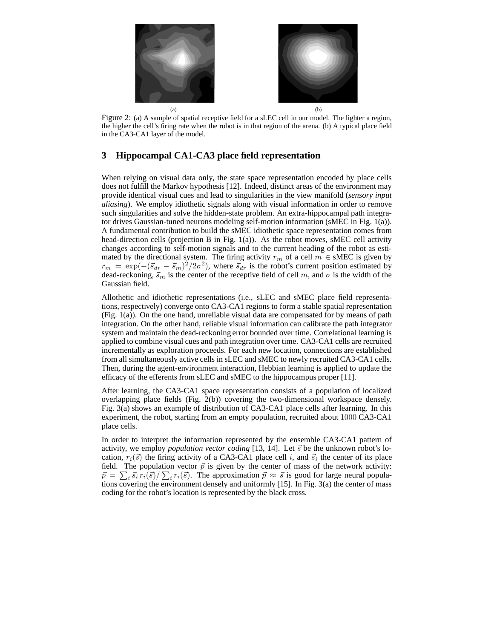

Figure 2: (a) A sample of spatial receptive field for a sLEC cell in our model. The lighter a region, the higher the cell's firing rate when the robot is in that region of the arena. (b) A typical place field in the CA3-CA1 layer of the model.

# **3 Hippocampal CA1-CA3 place field representation**

When relying on visual data only, the state space representation encoded by place cells does not fulfill the Markov hypothesis [12]. Indeed, distinct areas of the environment may provide identical visual cues and lead to singularities in the view manifold (*sensory input aliasing*). We employ idiothetic signals along with visual information in order to remove such singularities and solve the hidden-state problem. An extra-hippocampal path integrator drives Gaussian-tuned neurons modeling self-motion information (sMEC in Fig. 1(a)). A fundamental contribution to build the sMEC idiothetic space representation comes from head-direction cells (projection B in Fig. 1(a)). As the robot moves, sMEC cell activity changes according to self-motion signals and to the current heading of the robot as estimated by the directional system. The firing activity  $r_m$  of a cell  $m \in sMEC$  is given by  $r_m = \exp(-(s_{dr} - \vec{s}_m)^2/2\sigma^2)$ , where  $\vec{s}_{dr}$  is the robot's current position estimated by dead-reckoning,  $\vec{s}_m$  is the center of the receptive field of cell m, and  $\sigma$  is the width of the Gaussian field.

Allothetic and idiothetic representations (i.e., sLEC and sMEC place field representations, respectively) converge onto CA3-CA1 regions to form a stable spatial representation (Fig. 1(a)). On the one hand, unreliable visual data are compensated for by means of path integration. On the other hand, reliable visual information can calibrate the path integrator system and maintain the dead-reckoning error bounded over time. Correlational learning is applied to combine visual cues and path integration over time. CA3-CA1 cells are recruited incrementally as exploration proceeds. For each new location, connections are established from all simultaneously active cells in sLEC and sMEC to newly recruited CA3-CA1 cells. Then, during the agent-environment interaction, Hebbian learning is applied to update the efficacy of the efferents from sLEC and sMEC to the hippocampus proper [11].

After learning, the CA3-CA1 space representation consists of a population of localized overlapping place fields (Fig. 2(b)) covering the two-dimensional workspace densely. Fig. 3(a) shows an example of distribution of CA3-CA1 place cells after learning. In this experiment, the robot, starting from an empty population, recruited about 1000 CA3-CA1 place cells.

In order to interpret the information represented by the ensemble CA3-CA1 pattern of activity, we employ *population vector coding* [13, 14]. Let  $\vec{s}$  be the unknown robot's location,  $r_i(\vec{s})$  the firing activity of a CA3-CA1 place cell i, and  $\vec{s}_i$  the center of its place field. The population vector  $\vec{p}$  is given by the center of mass of the network activity:  $\vec{p} = \sum_i \vec{s}_i r_i(\vec{s}) / \sum_i r_i(\vec{s})$ . The approximation  $\vec{p} \approx \vec{s}$  is good for large neural populations covering the environment densely and uniformly [15]. In Fig. 3(a) the center of mass coding for the robot's location is represented by the black cross.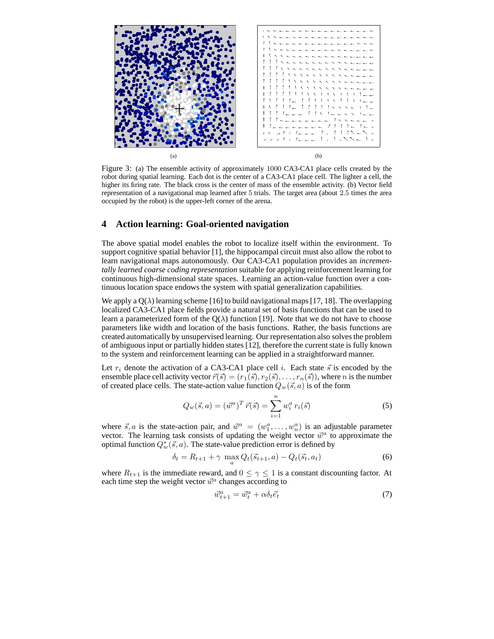

Figure 3: (a) The ensemble activity of approximately 1000 CA3-CA1 place cells created by the robot during spatial learning. Each dot is the center of a CA3-CA1 place cell. The lighter a cell, the higher its firing rate. The black cross is the center of mass of the ensemble activity. (b) Vector field representation of a navigational map learned after 5 trials. The target area (about 2.5 times the area occupied by the robot) is the upper-left corner of the arena.

# **4 Action learning: Goal-oriented navigation**

The above spatial model enables the robot to localize itself within the environment. To support cognitive spatial behavior [1], the hippocampal circuit must also allow the robot to learn navigational maps autonomously. Our CA3-CA1 population provides an *incrementally learned coarse coding representation* suitable for applying reinforcement learning for continuous high-dimensional state spaces. Learning an action-value function over a continuous location space endows the system with spatial generalization capabilities.

We apply a  $Q(\lambda)$  learning scheme [16] to build navigational maps [17, 18]. The overlapping localized CA3-CA1 place fields provide a natural set of basis functions that can be used to learn a parameterized form of the  $Q(\lambda)$  function [19]. Note that we do not have to choose parameters like width and location of the basis functions. Rather, the basis functions are created automatically by unsupervised learning. Our representation also solves the problem of ambiguous input or partially hidden states [12], therefore the current state is fully known to the system and reinforcement learning can be applied in a straightforward manner.

Let  $r_i$  denote the activation of a CA3-CA1 place cell i. Each state  $\vec{s}$  is encoded by the ensemble place cell activity vector  $\vec{r}(\vec{s}) = (r_1(\vec{s}), r_2(\vec{s}), \dots, r_n(\vec{s}))$ , where *n* is the number of created place cells. The state-action value function  $Q_w(\vec{s}, a)$  is of the form

$$
Q_w(\vec{s}, a) = (\vec{w}^a)^T \vec{r}(\vec{s}) = \sum_{i=1}^n w_i^a r_i(\vec{s})
$$
\n(5)

where  $\vec{s}$ , a is the state-action pair, and  $\vec{w}^a = (w_1^a, \dots, w_n^a)$  is an adjustable parameter vector. The learning task consists of updating the weight vector  $\vec{w}^a$  to approximate the optimal function  $Q_w^*(\vec{s}, a)$ . The state-value prediction error is defined by

$$
\delta_t = R_{t+1} + \gamma \max_a Q_t(\vec{s}_{t+1}, a) - Q_t(\vec{s}_t, a_t)
$$
\n
$$
\tag{6}
$$

where  $R_{t+1}$  is the immediate reward, and  $0 \leq \gamma \leq 1$  is a constant discounting factor. At each time step the weight vector  $\vec{w}^a$  changes according to

$$
\vec{w}_{t+1}^a = \vec{w}_t^a + \alpha \delta_t \vec{e}_t \tag{7}
$$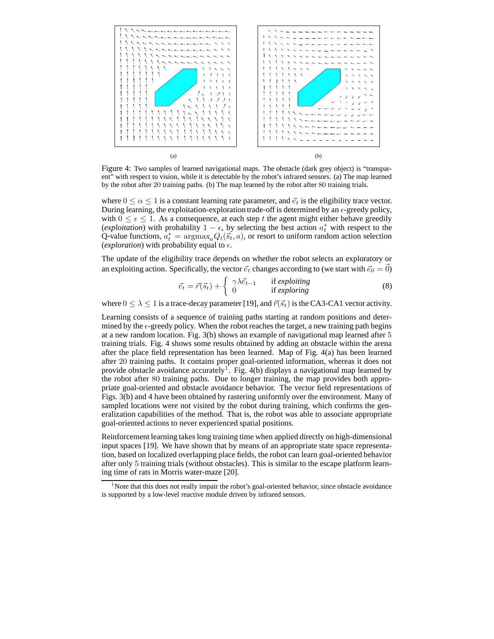

Figure 4: Two samples of learned navigational maps. The obstacle (dark grey object) is "transparent" with respect to vision, while it is detectable by the robot's infrared sensors. (a) The map learned by the robot after 20 training paths. (b) The map learned by the robot after 80 training trials.

where  $0 \le \alpha \le 1$  is a constant learning rate parameter, and  $\vec{e}_t$  is the eligibility trace vector. During learning, the exploitation-exploration trade-off is determined by an  $\epsilon$ -greedy policy, with  $0 \leq \epsilon \leq 1$ . As a consequence, at each step t the agent might either behave greedily (*exploitation*) with probability  $1 - \epsilon$ , by selecting the best action  $a_t^*$  with respect to the Q-value functions,  $a_t^* = \text{argmax}_a Q_t(\vec{s_t}, a)$ , or resort to uniform random action selection (*exploration*) with probability equal to  $\epsilon$ .

The update of the eligibility trace depends on whether the robot selects an exploratory or an exploiting action. Specifically, the vector  $\vec{e}_t$  changes according to (we start with  $\vec{e}_0 = 0$ )

$$
\vec{e}_t = \vec{r}(\vec{s}_t) + \begin{cases} \gamma \lambda \vec{e}_{t-1} & \text{if exploiting} \\ 0 & \text{if exploring} \end{cases}
$$
 (8)

where  $0 \leq \lambda \leq 1$  is a trace-decay parameter [19], and  $\vec{r}(\vec{s}_t)$  is the CA3-CA1 vector activity.

Learning consists of a sequence of training paths starting at random positions and determined by the  $\epsilon$ -greedy policy. When the robot reaches the target, a new training path begins at a new random location. Fig. 3(b) shows an example of navigational map learned after 5 training trials. Fig. 4 shows some results obtained by adding an obstacle within the arena after the place field representation has been learned. Map of Fig. 4(a) has been learned after 20 training paths. It contains proper goal-oriented information, whereas it does not provide obstacle avoidance accurately<sup>1</sup>. Fig. 4(b) displays a navigational map learned by the robot after 80 training paths. Due to longer training, the map provides both appropriate goal-oriented and obstacle avoidance behavior. The vector field representations of Figs. 3(b) and 4 have been obtained by rastering uniformly over the environment. Many of sampled locations were not visited by the robot during training, which confirms the generalization capabilities of the method. That is, the robot was able to associate appropriate goal-oriented actions to never experienced spatial positions.

Reinforcement learning takes long training time when applied directly on high-dimensional input spaces [19]. We have shown that by means of an appropriate state space representation, based on localized overlapping place fields, the robot can learn goal-oriented behavior after only 5 training trials (without obstacles). This is similar to the escape platform learning time of rats in Morris water-maze [20].

<sup>&</sup>lt;sup>1</sup>Note that this does not really impair the robot's goal-oriented behavior, since obstacle avoidance is supported by a low-level reactive module driven by infrared sensors.